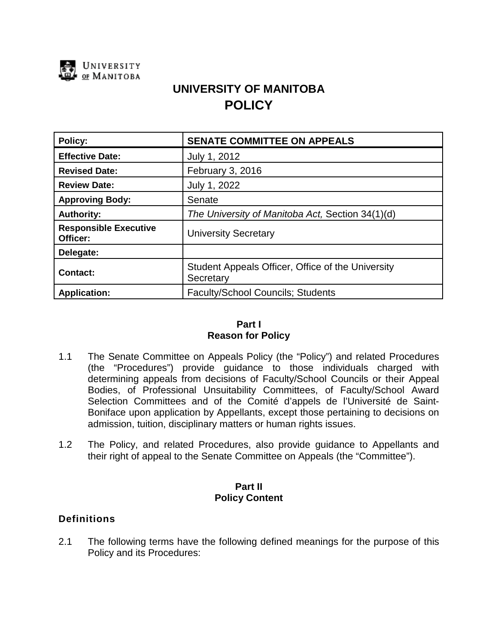

# **UNIVERSITY OF MANITOBA POLICY**

| Policy:                                  | <b>SENATE COMMITTEE ON APPEALS</b>                             |
|------------------------------------------|----------------------------------------------------------------|
| <b>Effective Date:</b>                   | July 1, 2012                                                   |
| <b>Revised Date:</b>                     | February 3, 2016                                               |
| <b>Review Date:</b>                      | July 1, 2022                                                   |
| <b>Approving Body:</b>                   | Senate                                                         |
| <b>Authority:</b>                        | The University of Manitoba Act, Section 34(1)(d)               |
| <b>Responsible Executive</b><br>Officer: | <b>University Secretary</b>                                    |
| Delegate:                                |                                                                |
| <b>Contact:</b>                          | Student Appeals Officer, Office of the University<br>Secretary |
| <b>Application:</b>                      | <b>Faculty/School Councils: Students</b>                       |

# **Part I Reason for Policy**

- 1.1 The Senate Committee on Appeals Policy (the "Policy") and related Procedures (the "Procedures") provide guidance to those individuals charged with determining appeals from decisions of Faculty/School Councils or their Appeal Bodies, of Professional Unsuitability Committees, of Faculty/School Award Selection Committees and of the Comité d'appels de l'Université de Saint-Boniface upon application by Appellants, except those pertaining to decisions on admission, tuition, disciplinary matters or human rights issues.
- 1.2 The Policy, and related Procedures, also provide guidance to Appellants and their right of appeal to the Senate Committee on Appeals (the "Committee").

## **Part II Policy Content**

# **Definitions**

2.1 The following terms have the following defined meanings for the purpose of this Policy and its Procedures: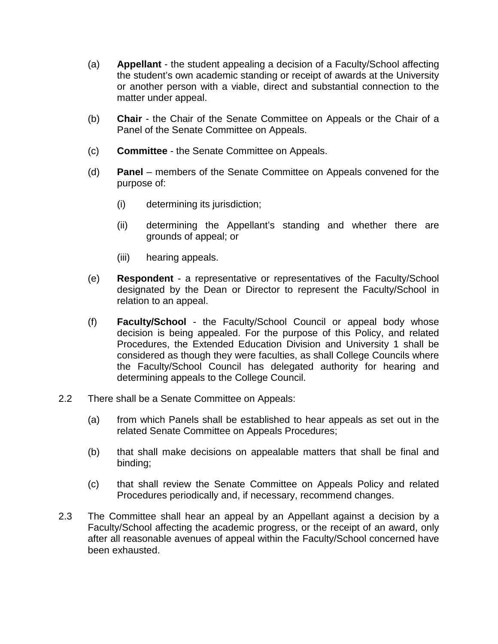- (a) **Appellant** the student appealing a decision of a Faculty/School affecting the student's own academic standing or receipt of awards at the University or another person with a viable, direct and substantial connection to the matter under appeal.
- (b) **Chair** the Chair of the Senate Committee on Appeals or the Chair of a Panel of the Senate Committee on Appeals.
- (c) **Committee** the Senate Committee on Appeals.
- (d) **Panel** members of the Senate Committee on Appeals convened for the purpose of:
	- (i) determining its jurisdiction;
	- (ii) determining the Appellant's standing and whether there are grounds of appeal; or
	- (iii) hearing appeals.
- (e) **Respondent** a representative or representatives of the Faculty/School designated by the Dean or Director to represent the Faculty/School in relation to an appeal.
- (f) **Faculty/School** the Faculty/School Council or appeal body whose decision is being appealed. For the purpose of this Policy, and related Procedures, the Extended Education Division and University 1 shall be considered as though they were faculties, as shall College Councils where the Faculty/School Council has delegated authority for hearing and determining appeals to the College Council.
- 2.2 There shall be a Senate Committee on Appeals:
	- (a) from which Panels shall be established to hear appeals as set out in the related Senate Committee on Appeals Procedures;
	- (b) that shall make decisions on appealable matters that shall be final and binding;
	- (c) that shall review the Senate Committee on Appeals Policy and related Procedures periodically and, if necessary, recommend changes.
- 2.3 The Committee shall hear an appeal by an Appellant against a decision by a Faculty/School affecting the academic progress, or the receipt of an award, only after all reasonable avenues of appeal within the Faculty/School concerned have been exhausted.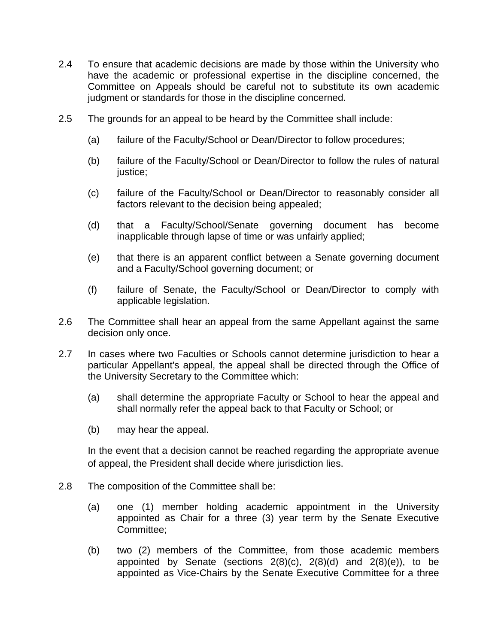- 2.4 To ensure that academic decisions are made by those within the University who have the academic or professional expertise in the discipline concerned, the Committee on Appeals should be careful not to substitute its own academic judgment or standards for those in the discipline concerned.
- 2.5 The grounds for an appeal to be heard by the Committee shall include:
	- (a) failure of the Faculty/School or Dean/Director to follow procedures;
	- (b) failure of the Faculty/School or Dean/Director to follow the rules of natural justice;
	- (c) failure of the Faculty/School or Dean/Director to reasonably consider all factors relevant to the decision being appealed;
	- (d) that a Faculty/School/Senate governing document has become inapplicable through lapse of time or was unfairly applied;
	- (e) that there is an apparent conflict between a Senate governing document and a Faculty/School governing document; or
	- (f) failure of Senate, the Faculty/School or Dean/Director to comply with applicable legislation.
- 2.6 The Committee shall hear an appeal from the same Appellant against the same decision only once.
- 2.7 In cases where two Faculties or Schools cannot determine jurisdiction to hear a particular Appellant's appeal, the appeal shall be directed through the Office of the University Secretary to the Committee which:
	- (a) shall determine the appropriate Faculty or School to hear the appeal and shall normally refer the appeal back to that Faculty or School; or
	- (b) may hear the appeal.

In the event that a decision cannot be reached regarding the appropriate avenue of appeal, the President shall decide where jurisdiction lies.

- 2.8 The composition of the Committee shall be:
	- (a) one (1) member holding academic appointment in the University appointed as Chair for a three (3) year term by the Senate Executive Committee;
	- (b) two (2) members of the Committee, from those academic members appointed by Senate (sections  $2(8)(c)$ ,  $2(8)(d)$  and  $2(8)(e)$ ), to be appointed as Vice-Chairs by the Senate Executive Committee for a three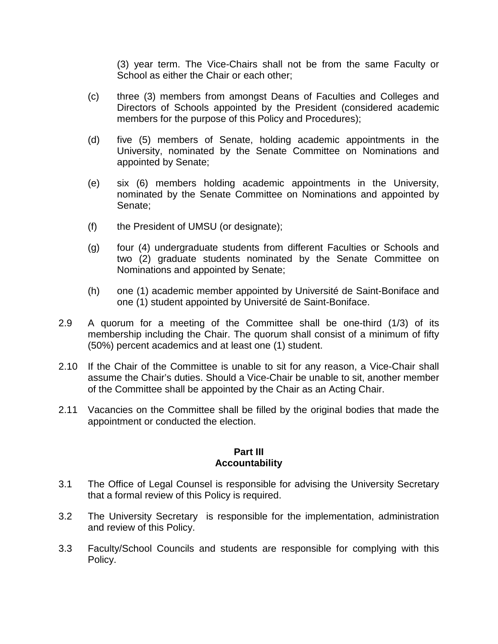(3) year term. The Vice-Chairs shall not be from the same Faculty or School as either the Chair or each other;

- (c) three (3) members from amongst Deans of Faculties and Colleges and Directors of Schools appointed by the President (considered academic members for the purpose of this Policy and Procedures);
- (d) five (5) members of Senate, holding academic appointments in the University, nominated by the Senate Committee on Nominations and appointed by Senate;
- (e) six (6) members holding academic appointments in the University, nominated by the Senate Committee on Nominations and appointed by Senate;
- (f) the President of UMSU (or designate);
- (g) four (4) undergraduate students from different Faculties or Schools and two (2) graduate students nominated by the Senate Committee on Nominations and appointed by Senate;
- (h) one (1) academic member appointed by Université de Saint-Boniface and one (1) student appointed by Université de Saint-Boniface.
- 2.9 A quorum for a meeting of the Committee shall be one-third (1/3) of its membership including the Chair. The quorum shall consist of a minimum of fifty (50%) percent academics and at least one (1) student.
- 2.10 If the Chair of the Committee is unable to sit for any reason, a Vice-Chair shall assume the Chair's duties. Should a Vice-Chair be unable to sit, another member of the Committee shall be appointed by the Chair as an Acting Chair.
- 2.11 Vacancies on the Committee shall be filled by the original bodies that made the appointment or conducted the election.

#### **Part III Accountability**

- 3.1 The Office of Legal Counsel is responsible for advising the University Secretary that a formal review of this Policy is required.
- 3.2 The University Secretary is responsible for the implementation, administration and review of this Policy.
- 3.3 Faculty/School Councils and students are responsible for complying with this Policy.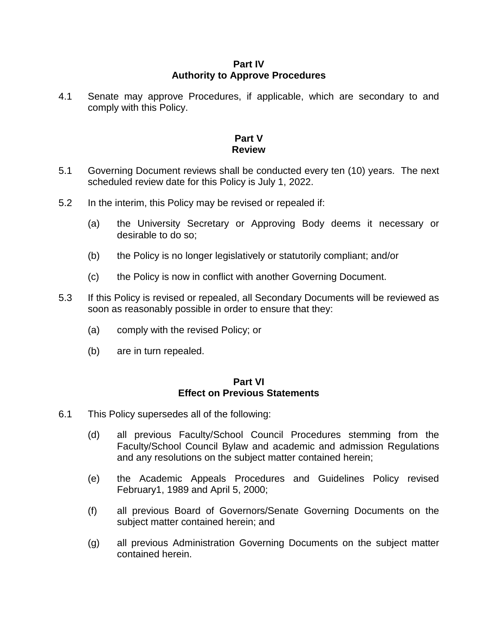## **Part IV Authority to Approve Procedures**

4.1 Senate may approve Procedures, if applicable, which are secondary to and comply with this Policy.

# **Part V Review**

- 5.1 Governing Document reviews shall be conducted every ten (10) years. The next scheduled review date for this Policy is July 1, 2022.
- 5.2 In the interim, this Policy may be revised or repealed if:
	- (a) the University Secretary or Approving Body deems it necessary or desirable to do so;
	- (b) the Policy is no longer legislatively or statutorily compliant; and/or
	- (c) the Policy is now in conflict with another Governing Document.
- 5.3 If this Policy is revised or repealed, all Secondary Documents will be reviewed as soon as reasonably possible in order to ensure that they:
	- (a) comply with the revised Policy; or
	- (b) are in turn repealed.

## **Part VI Effect on Previous Statements**

- 6.1 This Policy supersedes all of the following:
	- (d) all previous Faculty/School Council Procedures stemming from the Faculty/School Council Bylaw and academic and admission Regulations and any resolutions on the subject matter contained herein;
	- (e) the Academic Appeals Procedures and Guidelines Policy revised February1, 1989 and April 5, 2000;
	- (f) all previous Board of Governors/Senate Governing Documents on the subject matter contained herein; and
	- (g) all previous Administration Governing Documents on the subject matter contained herein.